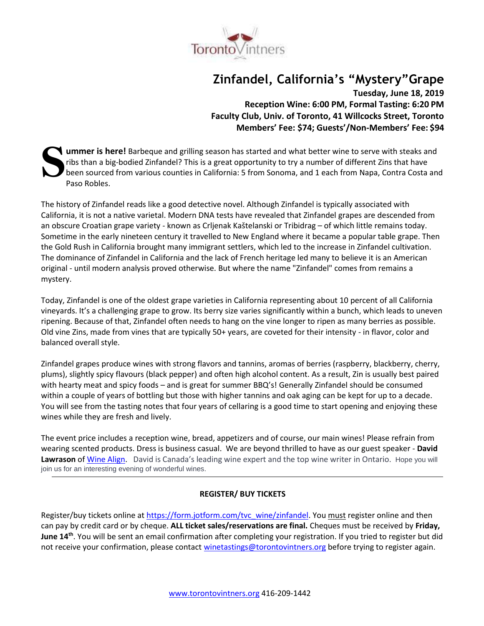

# **Zinfandel, California's "Mystery"Grape**

**Tuesday, June 18, 2019 Reception Wine: 6:00 PM, Formal Tasting: 6:20 PM Faculty Club, Univ. of Toronto, 41 Willcocks Street, Toronto Members' Fee: \$74; Guests'/Non-Members' Fee: \$94**

**ummer is here!** Barbeque and grilling season has started and what better wine to serve with steaks and ribs than a big-bodied Zinfandel? This is a great opportunity to try a number of different Zins that have been sourced from various counties in California: 5 from Sonoma, and 1 each from Napa, Contra Costa and Paso Robles. **S**

The history of Zinfandel reads like a good detective novel. Although Zinfandel is typically associated with California, it is not a native varietal. Modern DNA tests have revealed that Zinfandel grapes are descended from an obscure Croatian grape variety - known as Crljenak Kaštelanski or Tribidrag – of which little remains today. Sometime in the early nineteen century it travelled to New England where it became a popular table grape. Then the Gold Rush in California brought many immigrant settlers, which led to the increase in Zinfandel cultivation. The dominance of Zinfandel in California and the lack of French heritage led many to believe it is an American original - until modern analysis proved otherwise. But where the name "Zinfandel" comes from remains a mystery.

Today, Zinfandel is one of the oldest grape varieties in California representing about 10 percent of all California vineyards. It's a challenging grape to grow. Its berry size varies significantly within a bunch, which leads to uneven ripening. Because of that, Zinfandel often needs to hang on the vine longer to ripen as many berries as possible. Old vine Zins, made from vines that are typically 50+ years, are coveted for their intensity - in flavor, color and balanced overall style.

Zinfandel grapes produce wines with strong flavors and tannins, aromas of berries (raspberry, blackberry, cherry, plums), slightly spicy flavours (black pepper) and often high alcohol content. As a result, Zin is usually best paired with hearty meat and spicy foods – and is great for summer BBQ's! Generally Zinfandel should be consumed within a couple of years of bottling but those with higher tannins and oak aging can be kept for up to a decade. You will see from the tasting notes that four years of cellaring is a good time to start opening and enjoying these wines while they are fresh and lively.

The event price includes a reception wine, bread, appetizers and of course, our main wines! Please refrain from wearing scented products. Dress is business casual. We are beyond thrilled to have as our guest speaker - **David Lawrason** of [Wine Align.](https://www.winealign.com/) David is Canada's leading wine expert and the top wine writer in Ontario. Hope you will join us for an interesting evening of wonderful wines.

# **REGISTER/ BUY TICKETS**

Register/buy tickets online at [https://form.jotform.com/tvc\\_wine/zinfandel.](https://form.jotform.com/tvc_wine/zinfandel) You must register online and then can pay by credit card or by cheque. **ALL ticket sales/reservations are final.** Cheques must be received by **Friday, June 14th**. You will be sent an email confirmation after completing your registration. If you tried to register but did not receive your confirmation, please contact [winetastings@torontovintners.org](mailto:winetastings@torontovintners.org) before trying to register again.